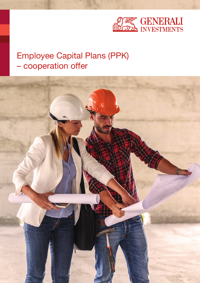

# Employee Capital Plans (PPK) – cooperation offer

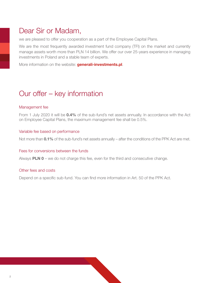# Dear Sir or Madam,

we are pleased to offer you cooperation as a part of the Employee Capital Plans.

We are the most frequently awarded investment fund company (TFI) on the market and currently manage assets worth more than PLN 14 billion. We offer our over 25-years experience in managing investments in Poland and a stable team of experts.

More information on the website: **generali-investments.pl**.

# Our offer – key information

### Management fee

From 1 July 2020 it will be **0.4%** of the sub-fund's net assets annually. In accordance with the Act on Employee Capital Plans, the maximum management fee shall be 0.5%.

### Variable fee based on performance

Not more than **0.1%** of the sub-fund's net assets annually – after the conditions of the PPK Act are met.

#### Fees for conversions between the funds

Always **PLN 0** – we do not charge this fee, even for the third and consecutive change.

#### Other fees and costs

Depend on a specific sub-fund. You can find more information in Art. 50 of the PPK Act.

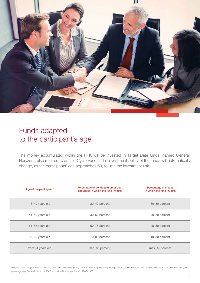

# Funds adapted to the participant's age

The money accumulated within the PPK will be invested in Target Date funds, named Generali Horyzont, also referred to as Life-Cycle Funds. The investment policy of the funds will automatically change, as the participants' age approaches 60, to limit the investment risk.

| Age of the participant* | Percentage of bonds and other debt<br>securities in which the fund invests | Percentage of shares<br>in which the fund invests |
|-------------------------|----------------------------------------------------------------------------|---------------------------------------------------|
| 18-40 years old         | 20-40 percent                                                              | 60-80 percent                                     |
| 41-50 years old         | 30-60 percent                                                              | 40-70 percent                                     |
| 51-55 years old         | 50-75 percent                                                              | 25-50 percent                                     |
| 56-60 years old         | 70-90 percent                                                              | 10-30 percent                                     |
| from 61 years old       | min. 85 percent                                                            | max. 15 percent                                   |

\* The participant's age above is only indicative. The investment policy of the fund is adapted to 5-year age ranges, and the target date of the fund is set to the middle of the given age range, e.g. Generali Horyzont 2045 is provided for people born in 1983–1987.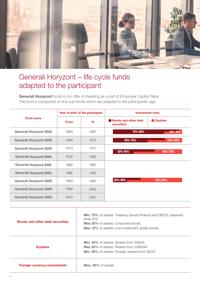

# Generali Horyzont – life cycle funds adapted to the participant

Generali Horyzont funds is our offer of investing as a part of Employee Capital Plans. The fund is composed of nine sub-funds which are adapted to the participants' age.

|                               | Year of birth of the participant |           | <b>Investment rules</b>                          |                 |
|-------------------------------|----------------------------------|-----------|--------------------------------------------------|-----------------|
| <b>Fund name</b>              | <b>From</b>                      | <b>To</b> | <b>Bonds and other debt</b><br><b>securities</b> | <b>Equities</b> |
| <b>Generali Horyzont 2025</b> | 1963                             | 1967      | 70%-90%                                          | 10%-30%         |
| <b>Generali Horyzont 2030</b> | 1968                             | 1972      | 50%-75%                                          | 25%-50%         |
| <b>Generali Horyzont 2035</b> | 1973                             | 1977      | 30%-60%                                          | 40%-70%         |
| <b>Generali Horyzont 2040</b> | 1978                             | 1982      |                                                  |                 |
| <b>Generali Horyzont 2045</b> | 1983                             | 1987      |                                                  |                 |
| <b>Generali Horyzont 2050</b> | 1988                             | 1992      |                                                  |                 |
| <b>Generali Horyzont 2055</b> | 1993                             | 1997      | 20%-40%                                          | 60%-80%         |
| <b>Generali Horyzont 2060</b> | 1998                             | 2002      |                                                  |                 |
| <b>Generali Horyzont 2065</b> | 2003                             | 2007      |                                                  |                 |

| <b>Bonds and other debt securities</b> | Min. 70% of assets: Treasury bonds (Poland and OECD), deposits<br>(max 6m)<br><b>Max 30%</b> of assets: Corporate bonds<br><b>Max 10%</b> of assets: Low investment grade bonds |
|----------------------------------------|---------------------------------------------------------------------------------------------------------------------------------------------------------------------------------|
| <b>Equities</b>                        | <b>Min. 40% of assets: Shares from WIG20</b><br>Max 20% of assets: Shares from mWIG40<br>Min. 20% of assets: Foreign shares from OECD                                           |
| <b>Foreign currency investments</b>    | Max. 30% of assets                                                                                                                                                              |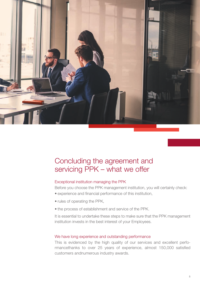

# Concluding the agreement and servicing PPK – what we offer

### Exceptional institution managing the PPK

Before you choose the PPK management institution, you will certainly check: • experience and financial performance of this institution,

- rules of operating the PPK,
- the process of establishment and service of the PPK.

It is essential to undertake these steps to make sure that the PPK management institution invests in the best interest of your Employees.

#### We have long experience and outstanding performance

This is evidenced by the high quality of our services and excellent performancethanks to over 25 years of experience, almost 150,000 satisfied customers andnumerous industry awards.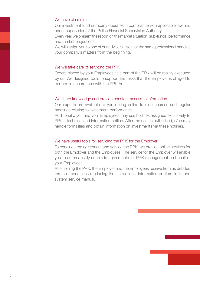#### We have clear rules

Our investment fund company operates in compliance with applicable law and under supervision of the Polish Financial Supervision Authority.

Every year we present the report on the market situation, sub-funds' performance and market projections.

We will assign you to one of our advisers – so that the same professional handles your company's matters from the beginning.

### We will take care of servicing the PPK

Orders placed by your Employees as a part of the PPK will be mainly executed by us. We designed tools to support the tasks that the Employer is obliged to perform in accordance with the PPK Act.

### We share knowledge and provide constant access to information

Our experts are available to you during online training courses and regular meetings relating to investment performance.

Additionally, you and your Employees may use hotlines assigned exclusively to PPK – technical and information hotline. After the user is authorised, s/he may handle formalities and obtain information on investments via these hotlines.

### We have useful tools for servicing the PPK for the Employer

To conclude the agreement and service the PPK, we provide online services for both the Employer and the Employees. The service for the Employer will enable you to automatically conclude agreements for PPK management on behalf of your Employees.

After joining the PPK, the Employer and the Employees receive from us detailed terms of conditions of placing the instructions, information on time limits and system service manual.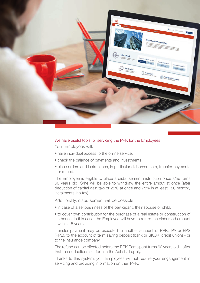

#### We have useful tools for servicing the PPK for the Employees

Your Employees will:

- have individual access to the online service,
- check the balance of payments and investments,
- place orders and instructions, in particular disbursements, transfer payments or refund.

The Employee is eligible to place a disbursement instruction once s/he turns 60 years old. S/he will be able to withdraw the entire amout at once (after deduction of capital gain tax) or 25% at once and 75% in at least 120 monthly instalments (no tax).

Additionally, disbursement will be possible:

- in case of a serious illness of the participant, their spouse or child,
- to cover own contribution for the purchase of a real estate or construction of a house. In this case, the Employee will have to return the disbursed amount within 15 years.

Transfer payment may be executed to another account of PPK, IPA or EPS (PPE), to the account of term saving deposit (bank or SKOK (credit unions)) or to the insurance company.

The refund can be effected before the PPK Participant turns 60 years old – after that the deductions set forth in the Act shall apply.

Thanks to this system, your Employees will not require your engangement in servicing and providing information on their PPK.